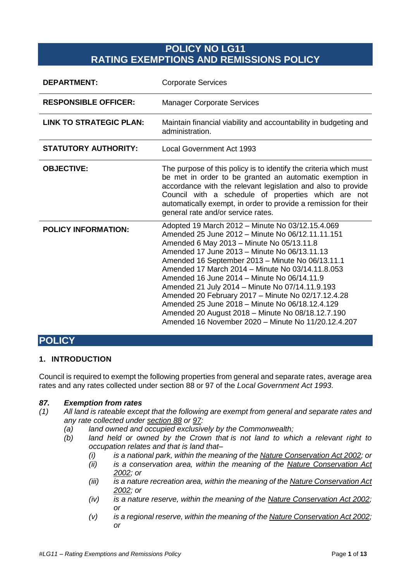# **POLICY NO LG11 RATING EXEMPTIONS AND REMISSIONS POLICY**

| <b>DEPARTMENT:</b>             | <b>Corporate Services</b>                                                                                                                                                                                                                                                                                                                                                                                                                                                                                                                                                                                                        |
|--------------------------------|----------------------------------------------------------------------------------------------------------------------------------------------------------------------------------------------------------------------------------------------------------------------------------------------------------------------------------------------------------------------------------------------------------------------------------------------------------------------------------------------------------------------------------------------------------------------------------------------------------------------------------|
| <b>RESPONSIBLE OFFICER:</b>    | <b>Manager Corporate Services</b>                                                                                                                                                                                                                                                                                                                                                                                                                                                                                                                                                                                                |
| <b>LINK TO STRATEGIC PLAN:</b> | Maintain financial viability and accountability in budgeting and<br>administration.                                                                                                                                                                                                                                                                                                                                                                                                                                                                                                                                              |
| <b>STATUTORY AUTHORITY:</b>    | <b>Local Government Act 1993</b>                                                                                                                                                                                                                                                                                                                                                                                                                                                                                                                                                                                                 |
| <b>OBJECTIVE:</b>              | The purpose of this policy is to identify the criteria which must<br>be met in order to be granted an automatic exemption in<br>accordance with the relevant legislation and also to provide<br>Council with a schedule of properties which are not<br>automatically exempt, in order to provide a remission for their<br>general rate and/or service rates.                                                                                                                                                                                                                                                                     |
| <b>POLICY INFORMATION:</b>     | Adopted 19 March 2012 - Minute No 03/12.15.4.069<br>Amended 25 June 2012 - Minute No 06/12.11.11.151<br>Amended 6 May 2013 - Minute No 05/13.11.8<br>Amended 17 June 2013 - Minute No 06/13.11.13<br>Amended 16 September 2013 - Minute No 06/13.11.1<br>Amended 17 March 2014 – Minute No 03/14.11.8.053<br>Amended 16 June 2014 - Minute No 06/14.11.9<br>Amended 21 July 2014 - Minute No 07/14.11.9.193<br>Amended 20 February 2017 - Minute No 02/17.12.4.28<br>Amended 25 June 2018 - Minute No 06/18.12.4.129<br>Amended 20 August 2018 - Minute No 08/18.12.7.190<br>Amended 16 November 2020 - Minute No 11/20.12.4.207 |

# **POLICY**

### **1. INTRODUCTION**

Council is required to exempt the following properties from general and separate rates, average area rates and any rates collected under section 88 or 97 of the *Local Government Act 1993*.

#### *87. Exemption from rates*

- *(1) All land is rateable except that the following are exempt from general and separate rates and any rate collected under [section 88](http://www.thelaw.tas.gov.au/tocview/content.w3p;cond=;doc_id=95%2B%2B1993%2BGS88%2FEN%2B20090818000000;histon=;prompt=;rec=;term=#GS88@EN) or [97:](http://www.thelaw.tas.gov.au/tocview/content.w3p;cond=;doc_id=95%2B%2B1993%2BGS97%2FEN%2B20090818000000;histon=;prompt=;rec=;term=#GS97@EN)* 
	- *(a) land owned and occupied exclusively by the Commonwealth;*
	- *(b) land held or owned by the Crown that is not land to which a relevant right to occupation relates and that is land that–*
		- *(i) is a national park, within the meaning of the [Nature Conservation Act 2002;](http://www.thelaw.tas.gov.au/tocview/index.w3p;cond=;doc_id=63%2B%2B2002%2BGS1%2FEN%2B20090818000000;histon=;prompt=;rec=;term=) or*
		- *(ii) is a conservation area, within the meaning of the [Nature Conservation Act](http://www.thelaw.tas.gov.au/tocview/index.w3p;cond=;doc_id=63%2B%2B2002%2BGS1%2FEN%2B20090818000000;histon=;prompt=;rec=;term=)  [2002;](http://www.thelaw.tas.gov.au/tocview/index.w3p;cond=;doc_id=63%2B%2B2002%2BGS1%2FEN%2B20090818000000;histon=;prompt=;rec=;term=) or*
		- *(iii) is a nature recreation area, within the meaning of th[e Nature Conservation Act](http://www.thelaw.tas.gov.au/tocview/index.w3p;cond=;doc_id=63%2B%2B2002%2BGS1%2FEN%2B20090818000000;histon=;prompt=;rec=;term=)  [2002;](http://www.thelaw.tas.gov.au/tocview/index.w3p;cond=;doc_id=63%2B%2B2002%2BGS1%2FEN%2B20090818000000;histon=;prompt=;rec=;term=) or*
		- *(iv) is a nature reserve, within the meaning of the [Nature Conservation Act 2002;](http://www.thelaw.tas.gov.au/tocview/index.w3p;cond=;doc_id=63%2B%2B2002%2BGS1%2FEN%2B20090818000000;histon=;prompt=;rec=;term=) or*
		- *(v) is a regional reserve, within the meaning of the [Nature Conservation Act 2002;](http://www.thelaw.tas.gov.au/tocview/index.w3p;cond=;doc_id=63%2B%2B2002%2BGS1%2FEN%2B20090818000000;histon=;prompt=;rec=;term=) or*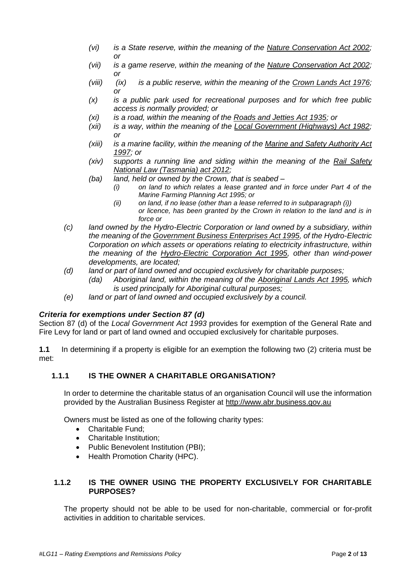- *(vi) is a State reserve, within the meaning of the [Nature Conservation Act 2002;](http://www.thelaw.tas.gov.au/tocview/index.w3p;cond=;doc_id=63%2B%2B2002%2BGS1%2FEN%2B20090818000000;histon=;prompt=;rec=;term=) or*
- *(vii) is a game reserve, within the meaning of the [Nature Conservation Act 2002;](http://www.thelaw.tas.gov.au/tocview/index.w3p;cond=;doc_id=63%2B%2B2002%2BGS1%2FEN%2B20090818000000;histon=;prompt=;rec=;term=) or*
- *(viii) (ix) is a public reserve, within the meaning of the [Crown Lands Act 1976;](http://www.thelaw.tas.gov.au/tocview/index.w3p;cond=;doc_id=28%2B%2B1976%2BGS1%2FEN%2B20090818000000;histon=;prompt=;rec=;term=) or*
- *(x) is a public park used for recreational purposes and for which free public access is normally provided; or*
- *(xi) is a road, within the meaning of the [Roads and Jetties Act 1935;](http://www.thelaw.tas.gov.au/tocview/index.w3p;cond=;doc_id=82%2B%2B1935%2BGS1%2FEN%2B20090818000000;histon=;prompt=;rec=;term=) or*
- *(xii) is a way, within the meaning of the [Local Government \(Highways\) Act 1982;](http://www.thelaw.tas.gov.au/tocview/index.w3p;cond=;doc_id=57%2B%2B1982%2BGS1%2FEN%2B20090818000000;histon=;prompt=;rec=;term=) or*
- *(xiii) is a marine facility, within the meaning of the [Marine and Safety Authority Act](http://www.thelaw.tas.gov.au/tocview/index.w3p;cond=;doc_id=15%2B%2B1997%2BGS1%2FEN%2B20090818000000;histon=;prompt=;rec=;term=)  [1997;](http://www.thelaw.tas.gov.au/tocview/index.w3p;cond=;doc_id=15%2B%2B1997%2BGS1%2FEN%2B20090818000000;histon=;prompt=;rec=;term=) or*
- *(xiv) supports a running line and siding within the meaning of the [Rail Safety](http://www.thelaw.tas.gov.au/tocview/index.w3p;cond=;doc_id=24%2B%2B1997%2BGS1%2FEN%2B20090818000000;histon=;prompt=;rec=;term=)  [National Law \(Tasmania\) act 2012;](http://www.thelaw.tas.gov.au/tocview/index.w3p;cond=;doc_id=24%2B%2B1997%2BGS1%2FEN%2B20090818000000;histon=;prompt=;rec=;term=)*
- *(ba) land, held or owned by the Crown, that is seabed –*
	- *(i) on land to which relates a lease granted and in force under Part 4 of the Marine Farming Planning Act 1995; or*
	- *(ii) on land, if no lease (other than a lease referred to in subparagraph (i)) or licence, has been granted by the Crown in relation to the land and is in force or*
- *(c) land owned by the Hydro-Electric Corporation or land owned by a subsidiary, within the meaning of th[e Government Business Enterprises Act 1995,](http://www.thelaw.tas.gov.au/tocview/index.w3p;cond=;doc_id=22%2B%2B1995%2BGS1%2FEN%2B20090818000000;histon=;prompt=;rec=;term=) of the Hydro-Electric Corporation on which assets or operations relating to electricity infrastructure, within the meaning of the [Hydro-Electric Corporation Act 1995,](http://www.thelaw.tas.gov.au/tocview/index.w3p;cond=;doc_id=57%2B%2B1995%2BGS1%2FEN%2B20090818000000;histon=;prompt=;rec=;term=) other than wind-power developments, are located;*
- *(d) land or part of land owned and occupied exclusively for charitable purposes;*
	- *(da) Aboriginal land, within the meaning of the [Aboriginal Lands Act 1995,](http://www.thelaw.tas.gov.au/tocview/index.w3p;cond=;doc_id=98%2B%2B1995%2BGS1%2FEN%2B20090818000000;histon=;prompt=;rec=;term=) which is used principally for Aboriginal cultural purposes;*
- *(e) land or part of land owned and occupied exclusively by a council.*

### *Criteria for exemptions under Section 87 (d)*

Section 87 (d) of the *Local Government Act 1993* provides for exemption of the General Rate and Fire Levy for land or part of land owned and occupied exclusively for charitable purposes.

**1.1** In determining if a property is eligible for an exemption the following two (2) criteria must be met:

### **1.1.1 IS THE OWNER A CHARITABLE ORGANISATION?**

In order to determine the charitable status of an organisation Council will use the information provided by the Australian Business Register at [http://www.abr.business.gov.au](http://www.abr.business.gov.au/)

Owners must be listed as one of the following charity types:

- Charitable Fund:
- Charitable Institution:
- Public Benevolent Institution (PBI):
- Health Promotion Charity (HPC).

#### **1.1.2 IS THE OWNER USING THE PROPERTY EXCLUSIVELY FOR CHARITABLE PURPOSES?**

The property should not be able to be used for non-charitable, commercial or for-profit activities in addition to charitable services.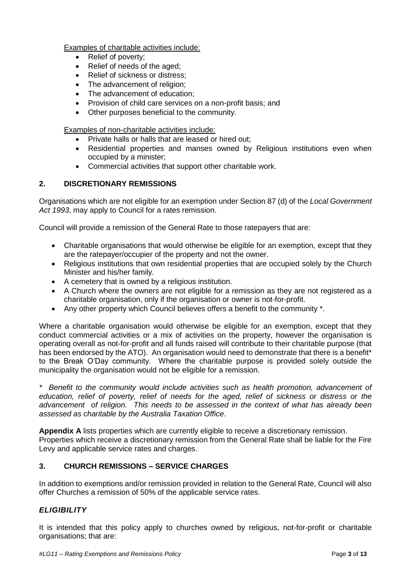Examples of charitable activities include:

- Relief of poverty;
- Relief of needs of the aged;
- Relief of sickness or distress:
- The advancement of religion:
- The advancement of education;
- Provision of child care services on a non-profit basis; and
- Other purposes beneficial to the community.

Examples of non-charitable activities include:

- Private halls or halls that are leased or hired out;
- Residential properties and manses owned by Religious institutions even when occupied by a minister;
- Commercial activities that support other charitable work.

#### **2. DISCRETIONARY REMISSIONS**

Organisations which are not eligible for an exemption under Section 87 (d) of the *Local Government Act 1993*, may apply to Council for a rates remission.

Council will provide a remission of the General Rate to those ratepayers that are:

- Charitable organisations that would otherwise be eligible for an exemption, except that they are the ratepayer/occupier of the property and not the owner.
- Religious institutions that own residential properties that are occupied solely by the Church Minister and his/her family.
- A cemetery that is owned by a religious institution.
- A Church where the owners are not eligible for a remission as they are not registered as a charitable organisation, only if the organisation or owner is not-for-profit.
- Any other property which Council believes offers a benefit to the community \*.

Where a charitable organisation would otherwise be eligible for an exemption, except that they conduct commercial activities or a mix of activities on the property, however the organisation is operating overall as not-for-profit and all funds raised will contribute to their charitable purpose (that has been endorsed by the ATO). An organisation would need to demonstrate that there is a benefit<sup>\*</sup> to the Break O'Day community. Where the charitable purpose is provided solely outside the municipality the organisation would not be eligible for a remission.

*\* Benefit to the community would include activities such as health promotion, advancement of education, relief of poverty, relief of needs for the aged, relief of sickness or distress or the advancement of religion. This needs to be assessed in the context of what has already been assessed as charitable by the Australia Taxation Office*.

**Appendix A** lists properties which are currently eligible to receive a discretionary remission. Properties which receive a discretionary remission from the General Rate shall be liable for the Fire Levy and applicable service rates and charges.

#### **3. CHURCH REMISSIONS – SERVICE CHARGES**

In addition to exemptions and/or remission provided in relation to the General Rate, Council will also offer Churches a remission of 50% of the applicable service rates.

#### *ELIGIBILITY*

It is intended that this policy apply to churches owned by religious, not-for-profit or charitable organisations; that are: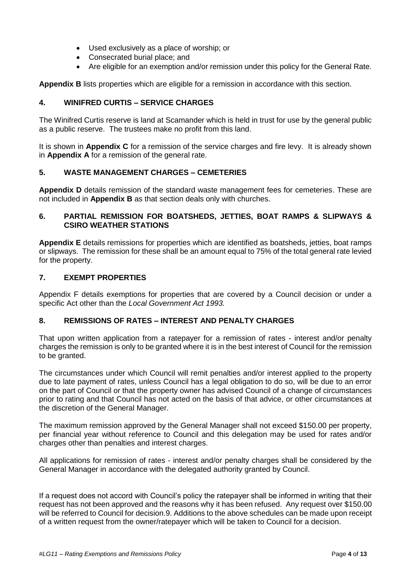- Used exclusively as a place of worship; or
- Consecrated burial place; and
- Are eligible for an exemption and/or remission under this policy for the General Rate.

**Appendix B** lists properties which are eligible for a remission in accordance with this section.

### **4. WINIFRED CURTIS – SERVICE CHARGES**

The Winifred Curtis reserve is land at Scamander which is held in trust for use by the general public as a public reserve. The trustees make no profit from this land.

It is shown in **Appendix C** for a remission of the service charges and fire levy. It is already shown in **Appendix A** for a remission of the general rate.

### **5. WASTE MANAGEMENT CHARGES – CEMETERIES**

**Appendix D** details remission of the standard waste management fees for cemeteries. These are not included in **Appendix B** as that section deals only with churches.

#### **6. PARTIAL REMISSION FOR BOATSHEDS, JETTIES, BOAT RAMPS & SLIPWAYS & CSIRO WEATHER STATIONS**

**Appendix E** details remissions for properties which are identified as boatsheds, jetties, boat ramps or slipways. The remission for these shall be an amount equal to 75% of the total general rate levied for the property.

#### **7. EXEMPT PROPERTIES**

Appendix F details exemptions for properties that are covered by a Council decision or under a specific Act other than the *Local Government Act 1993.*

#### **8. REMISSIONS OF RATES – INTEREST AND PENALTY CHARGES**

That upon written application from a ratepayer for a remission of rates - interest and/or penalty charges the remission is only to be granted where it is in the best interest of Council for the remission to be granted.

The circumstances under which Council will remit penalties and/or interest applied to the property due to late payment of rates, unless Council has a legal obligation to do so, will be due to an error on the part of Council or that the property owner has advised Council of a change of circumstances prior to rating and that Council has not acted on the basis of that advice, or other circumstances at the discretion of the General Manager.

The maximum remission approved by the General Manager shall not exceed \$150.00 per property, per financial year without reference to Council and this delegation may be used for rates and/or charges other than penalties and interest charges.

All applications for remission of rates - interest and/or penalty charges shall be considered by the General Manager in accordance with the delegated authority granted by Council.

If a request does not accord with Council's policy the ratepayer shall be informed in writing that their request has not been approved and the reasons why it has been refused. Any request over \$150.00 will be referred to Council for decision.9. Additions to the above schedules can be made upon receipt of a written request from the owner/ratepayer which will be taken to Council for a decision.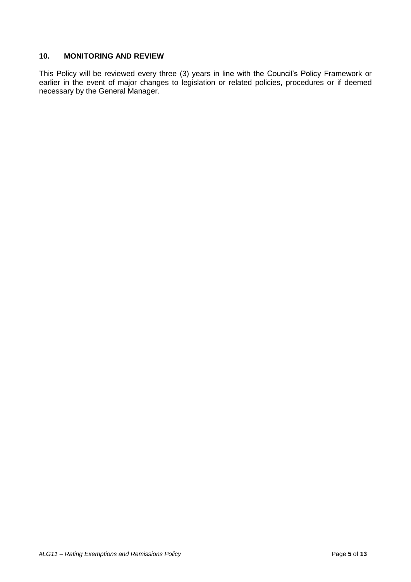### **10. MONITORING AND REVIEW**

This Policy will be reviewed every three (3) years in line with the Council's Policy Framework or earlier in the event of major changes to legislation or related policies, procedures or if deemed necessary by the General Manager.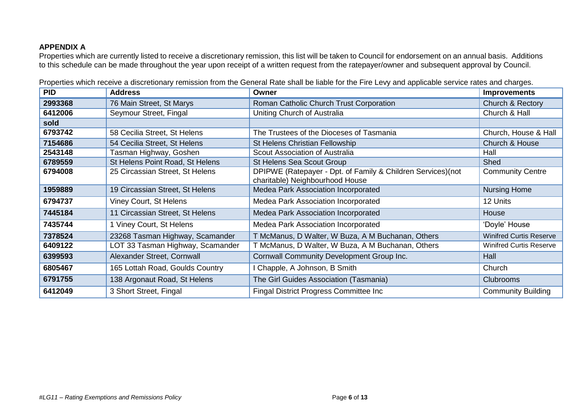### **APPENDIX A**

Properties which are currently listed to receive a discretionary remission, this list will be taken to Council for endorsement on an annual basis. Additions to this schedule can be made throughout the year upon receipt of a written request from the ratepayer/owner and subsequent approval by Council.

| <b>PID</b> | <b>Address</b>                   | Owner                                                                                           | <b>Improvements</b>            |
|------------|----------------------------------|-------------------------------------------------------------------------------------------------|--------------------------------|
| 2993368    | 76 Main Street, St Marys         | Roman Catholic Church Trust Corporation                                                         | Church & Rectory               |
| 6412006    | Seymour Street, Fingal           | Uniting Church of Australia                                                                     | Church & Hall                  |
| sold       |                                  |                                                                                                 |                                |
| 6793742    | 58 Cecilia Street, St Helens     | The Trustees of the Dioceses of Tasmania                                                        | Church, House & Hall           |
| 7154686    | 54 Cecilia Street, St Helens     | St Helens Christian Fellowship                                                                  | Church & House                 |
| 2543148    | Tasman Highway, Goshen           | Scout Association of Australia                                                                  | Hall                           |
| 6789559    | St Helens Point Road, St Helens  | <b>St Helens Sea Scout Group</b>                                                                | <b>Shed</b>                    |
| 6794008    | 25 Circassian Street, St Helens  | DPIPWE (Ratepayer - Dpt. of Family & Children Services) (not<br>charitable) Neighbourhood House | <b>Community Centre</b>        |
| 1959889    | 19 Circassian Street, St Helens  | Medea Park Association Incorporated                                                             | <b>Nursing Home</b>            |
| 6794737    | Viney Court, St Helens           | Medea Park Association Incorporated                                                             | 12 Units                       |
| 7445184    | 11 Circassian Street, St Helens  | Medea Park Association Incorporated                                                             | House                          |
| 7435744    | 1 Viney Court, St Helens         | Medea Park Association Incorporated                                                             | 'Doyle' House                  |
| 7378524    | 23268 Tasman Highway, Scamander  | T McManus, D Walter, W Buza, A M Buchanan, Others                                               | <b>Winifred Curtis Reserve</b> |
| 6409122    | LOT 33 Tasman Highway, Scamander | T McManus, D Walter, W Buza, A M Buchanan, Others                                               | <b>Winifred Curtis Reserve</b> |
| 6399593    | Alexander Street, Cornwall       | Cornwall Community Development Group Inc.                                                       | Hall                           |
| 6805467    | 165 Lottah Road, Goulds Country  | Chapple, A Johnson, B Smith                                                                     | Church                         |
| 6791755    | 138 Argonaut Road, St Helens     | The Girl Guides Association (Tasmania)                                                          | Clubrooms                      |
| 6412049    | 3 Short Street, Fingal           | <b>Fingal District Progress Committee Inc.</b>                                                  | <b>Community Building</b>      |

Properties which receive a discretionary remission from the General Rate shall be liable for the Fire Levy and applicable service rates and charges.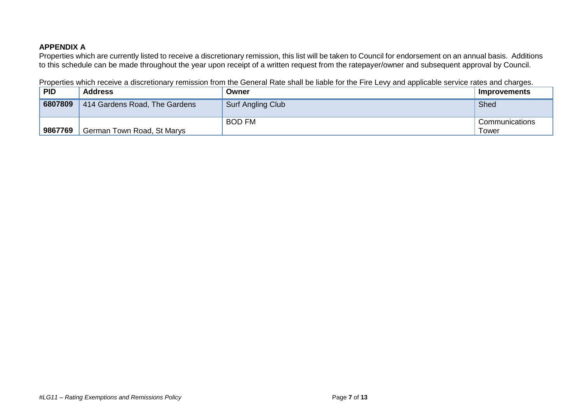### **APPENDIX A**

Properties which are currently listed to receive a discretionary remission, this list will be taken to Council for endorsement on an annual basis. Additions to this schedule can be made throughout the year upon receipt of a written request from the ratepayer/owner and subsequent approval by Council.

Properties which receive a discretionary remission from the General Rate shall be liable for the Fire Levy and applicable service rates and charges.

| <b>PID</b> | <b>Address</b>                | Owner             | <b>Improvements</b>     |
|------------|-------------------------------|-------------------|-------------------------|
| 6807809    | 414 Gardens Road, The Gardens | Surf Angling Club | Shed                    |
| 9867769    | German Town Road, St Marys    | <b>BOD FM</b>     | Communications<br>Tower |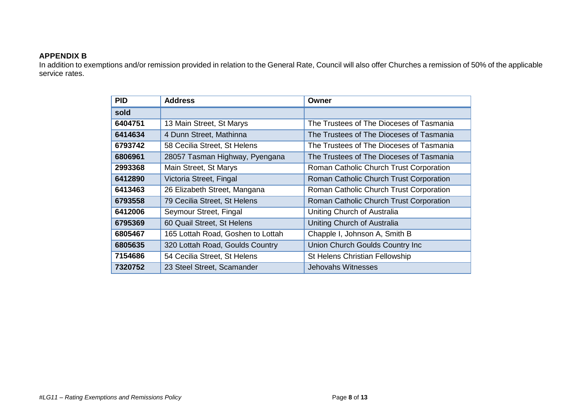#### **APPENDIX B**

In addition to exemptions and/or remission provided in relation to the General Rate, Council will also offer Churches a remission of 50% of the applicable service rates.

| <b>PID</b> | <b>Address</b>                    | Owner                                    |
|------------|-----------------------------------|------------------------------------------|
| sold       |                                   |                                          |
| 6404751    | 13 Main Street, St Marys          | The Trustees of The Dioceses of Tasmania |
| 6414634    | 4 Dunn Street, Mathinna           | The Trustees of The Dioceses of Tasmania |
| 6793742    | 58 Cecilia Street, St Helens      | The Trustees of The Dioceses of Tasmania |
| 6806961    | 28057 Tasman Highway, Pyengana    | The Trustees of The Dioceses of Tasmania |
| 2993368    | Main Street, St Marys             | Roman Catholic Church Trust Corporation  |
| 6412890    | Victoria Street, Fingal           | Roman Catholic Church Trust Corporation  |
| 6413463    | 26 Elizabeth Street, Mangana      | Roman Catholic Church Trust Corporation  |
| 6793558    | 79 Cecilia Street, St Helens      | Roman Catholic Church Trust Corporation  |
| 6412006    | Seymour Street, Fingal            | Uniting Church of Australia              |
| 6795369    | 60 Quail Street, St Helens        | Uniting Church of Australia              |
| 6805467    | 165 Lottah Road, Goshen to Lottah | Chapple I, Johnson A, Smith B            |
| 6805635    | 320 Lottah Road, Goulds Country   | Union Church Goulds Country Inc          |
| 7154686    | 54 Cecilia Street, St Helens      | St Helens Christian Fellowship           |
| 7320752    | 23 Steel Street, Scamander        | Jehovahs Witnesses                       |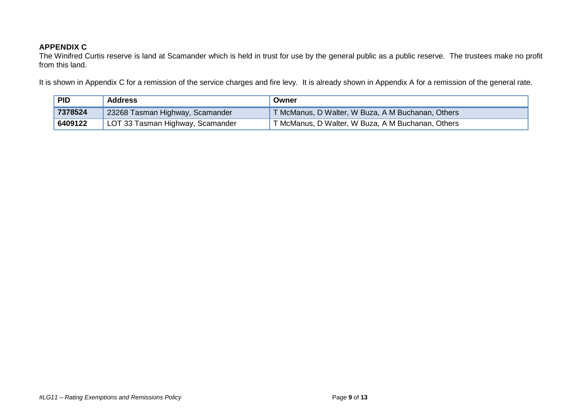### **APPENDIX C**

The Winifred Curtis reserve is land at Scamander which is held in trust for use by the general public as a public reserve. The trustees make no profit from this land.

It is shown in Appendix C for a remission of the service charges and fire levy. It is already shown in Appendix A for a remission of the general rate.

| <b>PID</b> | <b>Address</b>                   | Owner                                             |
|------------|----------------------------------|---------------------------------------------------|
| 7378524    | 23268 Tasman Highway, Scamander  | T McManus, D Walter, W Buza, A M Buchanan, Others |
| 6409122    | LOT 33 Tasman Highway, Scamander | T McManus, D Walter, W Buza, A M Buchanan, Others |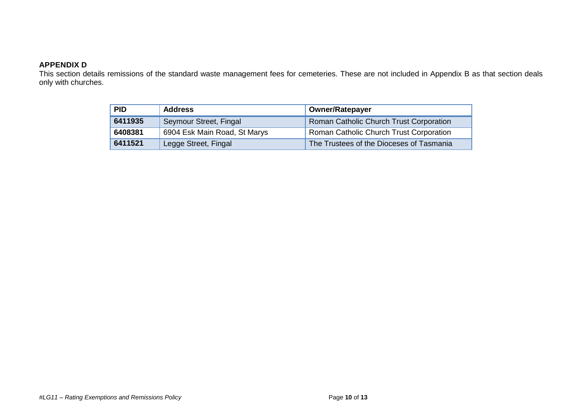### **APPENDIX D**

This section details remissions of the standard waste management fees for cemeteries. These are not included in Appendix B as that section deals only with churches.

| <b>PID</b><br><b>Address</b> |                              | <b>Owner/Ratepayer</b>                   |  |
|------------------------------|------------------------------|------------------------------------------|--|
| 6411935                      | Seymour Street, Fingal       | Roman Catholic Church Trust Corporation  |  |
| 6408381                      | 6904 Esk Main Road, St Marys | Roman Catholic Church Trust Corporation  |  |
| 6411521                      | Legge Street, Fingal         | The Trustees of the Dioceses of Tasmania |  |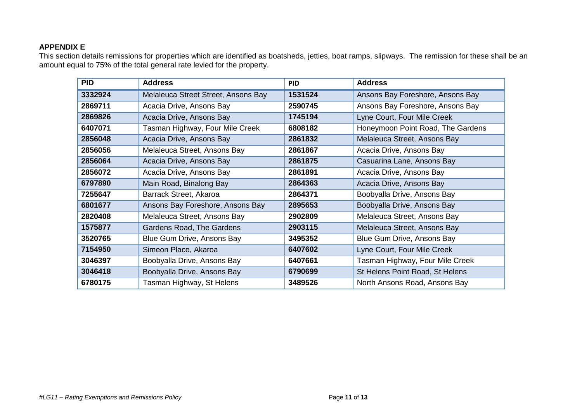### **APPENDIX E**

This section details remissions for properties which are identified as boatsheds, jetties, boat ramps, slipways. The remission for these shall be an amount equal to 75% of the total general rate levied for the property.

| <b>PID</b> | <b>Address</b>                      | <b>PID</b> | <b>Address</b>                    |
|------------|-------------------------------------|------------|-----------------------------------|
| 3332924    | Melaleuca Street Street, Ansons Bay | 1531524    | Ansons Bay Foreshore, Ansons Bay  |
| 2869711    | Acacia Drive, Ansons Bay            | 2590745    | Ansons Bay Foreshore, Ansons Bay  |
| 2869826    | Acacia Drive, Ansons Bay            | 1745194    | Lyne Court, Four Mile Creek       |
| 6407071    | Tasman Highway, Four Mile Creek     | 6808182    | Honeymoon Point Road, The Gardens |
| 2856048    | Acacia Drive, Ansons Bay            | 2861832    | Melaleuca Street, Ansons Bay      |
| 2856056    | Melaleuca Street, Ansons Bay        | 2861867    | Acacia Drive, Ansons Bay          |
| 2856064    | Acacia Drive, Ansons Bay            | 2861875    | Casuarina Lane, Ansons Bay        |
| 2856072    | Acacia Drive, Ansons Bay            | 2861891    | Acacia Drive, Ansons Bay          |
| 6797890    | Main Road, Binalong Bay             | 2864363    | Acacia Drive, Ansons Bay          |
| 7255647    | Barrack Street, Akaroa              | 2864371    | Boobyalla Drive, Ansons Bay       |
| 6801677    | Ansons Bay Foreshore, Ansons Bay    | 2895653    | Boobyalla Drive, Ansons Bay       |
| 2820408    | Melaleuca Street, Ansons Bay        | 2902809    | Melaleuca Street, Ansons Bay      |
| 1575877    | Gardens Road, The Gardens           | 2903115    | Melaleuca Street, Ansons Bay      |
| 3520765    | Blue Gum Drive, Ansons Bay          | 3495352    | Blue Gum Drive, Ansons Bay        |
| 7154950    | Simeon Place, Akaroa                | 6407602    | Lyne Court, Four Mile Creek       |
| 3046397    | Boobyalla Drive, Ansons Bay         | 6407661    | Tasman Highway, Four Mile Creek   |
| 3046418    | Boobyalla Drive, Ansons Bay         | 6790699    | St Helens Point Road, St Helens   |
| 6780175    | Tasman Highway, St Helens           | 3489526    | North Ansons Road, Ansons Bay     |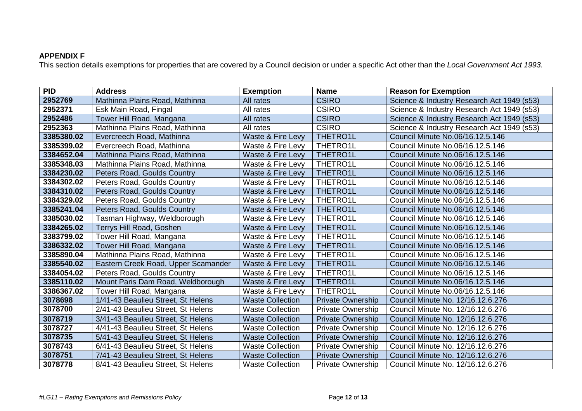## **APPENDIX F**

This section details exemptions for properties that are covered by a Council decision or under a specific Act other than the *Local Government Act 1993.*

| <b>PID</b> | <b>Address</b>                      | <b>Exemption</b>        | <b>Name</b>              | <b>Reason for Exemption</b>                |
|------------|-------------------------------------|-------------------------|--------------------------|--------------------------------------------|
| 2952769    | Mathinna Plains Road, Mathinna      | All rates               | <b>CSIRO</b>             | Science & Industry Research Act 1949 (s53) |
| 2952371    | Esk Main Road, Fingal               | All rates               | <b>CSIRO</b>             | Science & Industry Research Act 1949 (s53) |
| 2952486    | Tower Hill Road, Mangana            | All rates               | <b>CSIRO</b>             | Science & Industry Research Act 1949 (s53) |
| 2952363    | Mathinna Plains Road, Mathinna      | All rates               | <b>CSIRO</b>             | Science & Industry Research Act 1949 (s53) |
| 3385380.02 | Evercreech Road, Mathinna           | Waste & Fire Levy       | <b>THETRO1L</b>          | Council Minute No.06/16.12.5.146           |
| 3385399.02 | Evercreech Road, Mathinna           | Waste & Fire Levy       | THETRO1L                 | Council Minute No.06/16.12.5.146           |
| 3384652.04 | Mathinna Plains Road, Mathinna      | Waste & Fire Levy       | <b>THETRO1L</b>          | Council Minute No.06/16.12.5.146           |
| 3385348.03 | Mathinna Plains Road, Mathinna      | Waste & Fire Levy       | THETRO1L                 | Council Minute No.06/16.12.5.146           |
| 3384230.02 | Peters Road, Goulds Country         | Waste & Fire Levy       | <b>THETRO1L</b>          | Council Minute No.06/16.12.5.146           |
| 3384302.02 | Peters Road, Goulds Country         | Waste & Fire Levy       | THETRO1L                 | Council Minute No.06/16.12.5.146           |
| 3384310.02 | Peters Road, Goulds Country         | Waste & Fire Levy       | <b>THETRO1L</b>          | Council Minute No.06/16.12.5.146           |
| 3384329.02 | Peters Road, Goulds Country         | Waste & Fire Levy       | THETRO1L                 | Council Minute No.06/16.12.5.146           |
| 3385241.04 | Peters Road, Goulds Country         | Waste & Fire Levy       | <b>THETRO1L</b>          | Council Minute No.06/16.12.5.146           |
| 3385030.02 | Tasman Highway, Weldborough         | Waste & Fire Levy       | THETRO1L                 | Council Minute No.06/16.12.5.146           |
| 3384265.02 | Terrys Hill Road, Goshen            | Waste & Fire Levy       | <b>THETRO1L</b>          | Council Minute No.06/16.12.5.146           |
| 3383799.02 | Tower Hill Road, Mangana            | Waste & Fire Levy       | THETRO1L                 | Council Minute No.06/16.12.5.146           |
| 3386332.02 | Tower Hill Road, Mangana            | Waste & Fire Levy       | <b>THETRO1L</b>          | Council Minute No.06/16.12.5.146           |
| 3385890.04 | Mathinna Plains Road, Mathinna      | Waste & Fire Levy       | THETRO1L                 | Council Minute No.06/16.12.5.146           |
| 3385540.02 | Eastern Creek Road, Upper Scamander | Waste & Fire Levy       | <b>THETRO1L</b>          | Council Minute No.06/16.12.5.146           |
| 3384054.02 | Peters Road, Goulds Country         | Waste & Fire Levy       | <b>THETRO1L</b>          | Council Minute No.06/16.12.5.146           |
| 3385110.02 | Mount Paris Dam Road, Weldborough   | Waste & Fire Levy       | <b>THETRO1L</b>          | Council Minute No.06/16.12.5.146           |
| 3386367.02 | Tower Hill Road, Mangana            | Waste & Fire Levy       | <b>THETRO1L</b>          | Council Minute No.06/16.12.5.146           |
| 3078698    | 1/41-43 Beaulieu Street, St Helens  | <b>Waste Collection</b> | <b>Private Ownership</b> | Council Minute No. 12/16.12.6.276          |
| 3078700    | 2/41-43 Beaulieu Street, St Helens  | <b>Waste Collection</b> | Private Ownership        | Council Minute No. 12/16.12.6.276          |
| 3078719    | 3/41-43 Beaulieu Street, St Helens  | <b>Waste Collection</b> | <b>Private Ownership</b> | Council Minute No. 12/16.12.6.276          |
| 3078727    | 4/41-43 Beaulieu Street, St Helens  | <b>Waste Collection</b> | <b>Private Ownership</b> | Council Minute No. 12/16.12.6.276          |
| 3078735    | 5/41-43 Beaulieu Street, St Helens  | <b>Waste Collection</b> | <b>Private Ownership</b> | Council Minute No. 12/16.12.6.276          |
| 3078743    | 6/41-43 Beaulieu Street, St Helens  | <b>Waste Collection</b> | <b>Private Ownership</b> | Council Minute No. 12/16.12.6.276          |
| 3078751    | 7/41-43 Beaulieu Street, St Helens  | <b>Waste Collection</b> | <b>Private Ownership</b> | Council Minute No. 12/16.12.6.276          |
| 3078778    | 8/41-43 Beaulieu Street, St Helens  | <b>Waste Collection</b> | <b>Private Ownership</b> | Council Minute No. 12/16.12.6.276          |